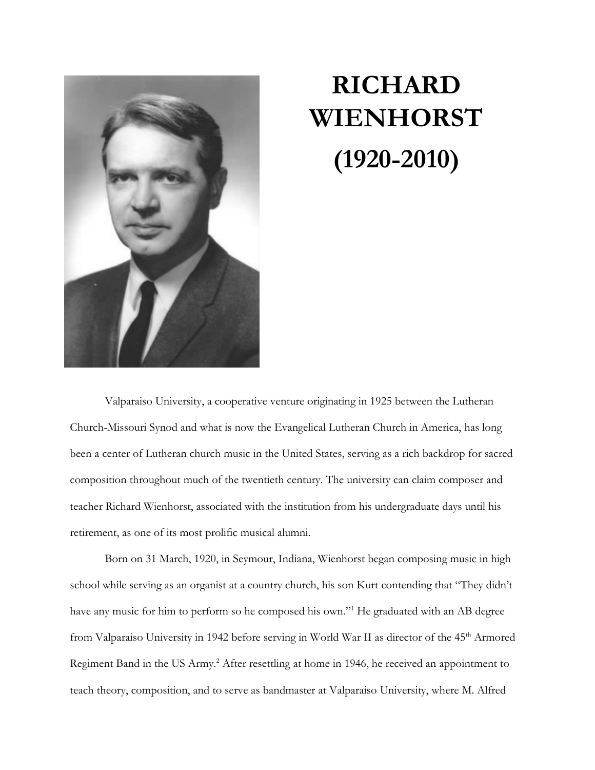

## **RICHARD WIENHORST (1920-2010)**

Valparaiso University, a cooperative venture originating in 1925 between the Lutheran Church-Missouri Synod and what is now the Evangelical Lutheran Church in America, has long been a center of Lutheran church music in the United States, serving as a rich backdrop for sacred composition throughout much of the twentieth century. The university can claim composer and teacher Richard Wienhorst, associated with the institution from his undergraduate days until his retirement, as one of its most prolific musical alumni.

Born on 31 March, 1920, in Seymour, Indiana, Wienhorst began composing music in high school while serving as an organist at a country church, his son Kurt contending that "They didn't have any music for him to perform so he composed his own."<sup>1</sup> He graduated with an AB degree from Valparaiso University in 1942 before serving in World War II as director of the 45<sup>th</sup> Armored Regiment Band in the US Army.<sup>2</sup> After resettling at home in 1946, he received an appointment to teach theory, composition, and to serve as bandmaster at Valparaiso University, where M. Alfred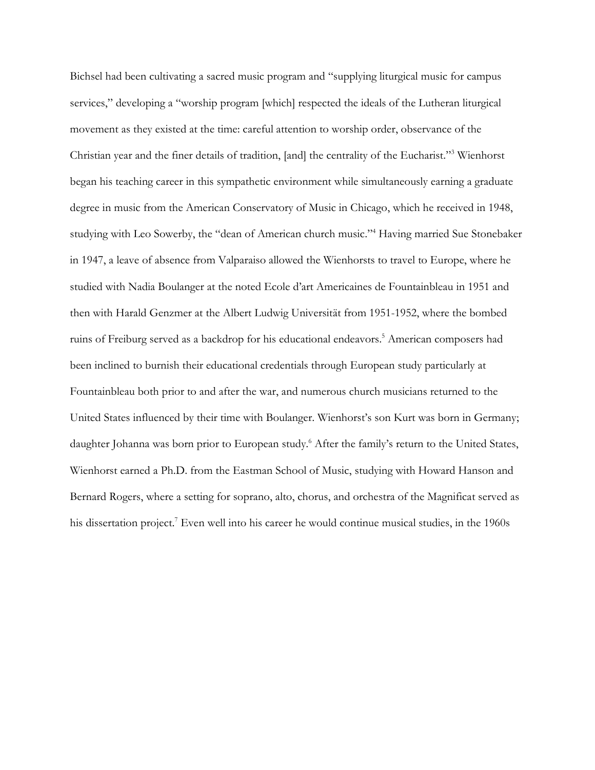Bichsel had been cultivating a sacred music program and "supplying liturgical music for campus services," developing a "worship program [which] respected the ideals of the Lutheran liturgical movement as they existed at the time: careful attention to worship order, observance of the Christian year and the finer details of tradition, [and] the centrality of the Eucharist."<sup>3</sup> Wienhorst began his teaching career in this sympathetic environment while simultaneously earning a graduate degree in music from the American Conservatory of Music in Chicago, which he received in 1948, studying with Leo Sowerby, the "dean of American church music." <sup>4</sup> Having married Sue Stonebaker in 1947, a leave of absence from Valparaiso allowed the Wienhorsts to travel to Europe, where he studied with Nadia Boulanger at the noted Ecole d'art Americaines de Fountainbleau in 1951 and then with Harald Genzmer at the Albert Ludwig Universität from 1951-1952, where the bombed ruins of Freiburg served as a backdrop for his educational endeavors. <sup>5</sup> American composers had been inclined to burnish their educational credentials through European study particularly at Fountainbleau both prior to and after the war, and numerous church musicians returned to the United States influenced by their time with Boulanger. Wienhorst's son Kurt was born in Germany; daughter Johanna was born prior to European study. <sup>6</sup> After the family's return to the United States, Wienhorst earned a Ph.D. from the Eastman School of Music, studying with Howard Hanson and Bernard Rogers, where a setting for soprano, alto, chorus, and orchestra of the Magnificat served as his dissertation project. <sup>7</sup> Even well into his career he would continue musical studies, in the 1960s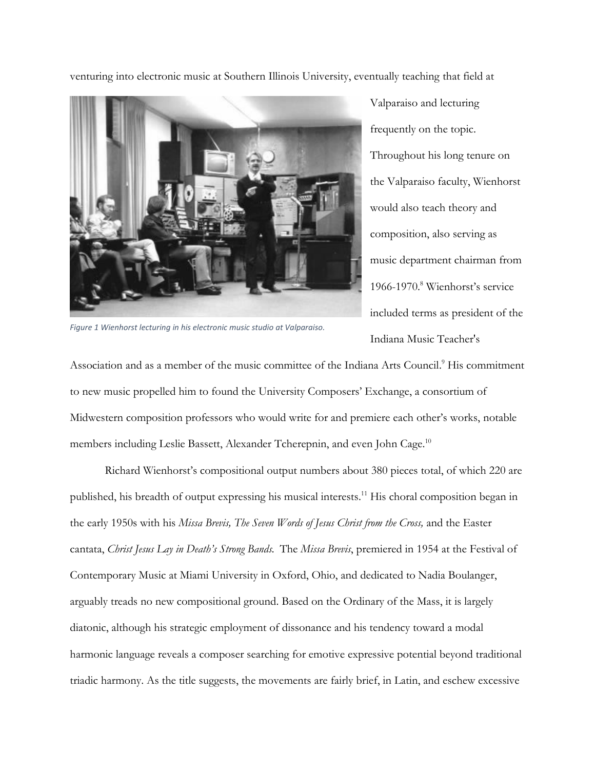venturing into electronic music at Southern Illinois University, eventually teaching that field at



Valparaiso and lecturing frequently on the topic. Throughout his long tenure on the Valparaiso faculty, Wienhorst would also teach theory and composition, also serving as music department chairman from 1966-1970. <sup>8</sup> Wienhorst's service included terms as president of the Indiana Music Teacher's

*Figure 1 Wienhorst lecturing in his electronic music studio at Valparaiso.* 

Association and as a member of the music committee of the Indiana Arts Council. <sup>9</sup> His commitment to new music propelled him to found the University Composers' Exchange, a consortium of Midwestern composition professors who would write for and premiere each other's works, notable members including Leslie Bassett, Alexander Tcherepnin, and even John Cage.<sup>10</sup>

Richard Wienhorst's compositional output numbers about 380 pieces total, of which 220 are published, his breadth of output expressing his musical interests.<sup>11</sup> His choral composition began in the early 1950s with his *Missa Brevis, The Seven Words of Jesus Christ from the Cross,* and the Easter cantata, *Christ Jesus Lay in Death's Strong Bands.* The *Missa Brevis*, premiered in 1954 at the Festival of Contemporary Music at Miami University in Oxford, Ohio, and dedicated to Nadia Boulanger, arguably treads no new compositional ground. Based on the Ordinary of the Mass, it is largely diatonic, although his strategic employment of dissonance and his tendency toward a modal harmonic language reveals a composer searching for emotive expressive potential beyond traditional triadic harmony. As the title suggests, the movements are fairly brief, in Latin, and eschew excessive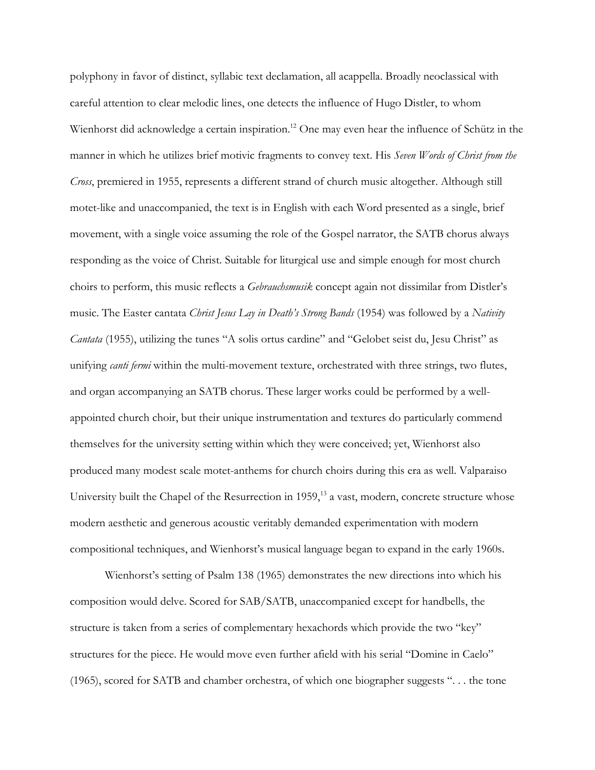polyphony in favor of distinct, syllabic text declamation, all acappella. Broadly neoclassical with careful attention to clear melodic lines, one detects the influence of Hugo Distler, to whom Wienhorst did acknowledge a certain inspiration.<sup>12</sup> One may even hear the influence of Schütz in the manner in which he utilizes brief motivic fragments to convey text. His *Seven Words of Christ from the Cross*, premiered in 1955, represents a different strand of church music altogether. Although still motet-like and unaccompanied, the text is in English with each Word presented as a single, brief movement, with a single voice assuming the role of the Gospel narrator, the SATB chorus always responding as the voice of Christ. Suitable for liturgical use and simple enough for most church choirs to perform, this music reflects a *Gebrauchsmusik* concept again not dissimilar from Distler's music. The Easter cantata *Christ Jesus Lay in Death's Strong Bands* (1954) was followed by a *Nativity Cantata* (1955), utilizing the tunes "A solis ortus cardine" and "Gelobet seist du, Jesu Christ" as unifying *canti fermi* within the multi-movement texture, orchestrated with three strings, two flutes, and organ accompanying an SATB chorus. These larger works could be performed by a wellappointed church choir, but their unique instrumentation and textures do particularly commend themselves for the university setting within which they were conceived; yet, Wienhorst also produced many modest scale motet-anthems for church choirs during this era as well. Valparaiso University built the Chapel of the Resurrection in  $1959<sup>13</sup>$  a vast, modern, concrete structure whose modern aesthetic and generous acoustic veritably demanded experimentation with modern compositional techniques, and Wienhorst's musical language began to expand in the early 1960s.

Wienhorst's setting of Psalm 138 (1965) demonstrates the new directions into which his composition would delve. Scored for SAB/SATB, unaccompanied except for handbells, the structure is taken from a series of complementary hexachords which provide the two "key" structures for the piece. He would move even further afield with his serial "Domine in Caelo" (1965), scored for SATB and chamber orchestra, of which one biographer suggests ". . . the tone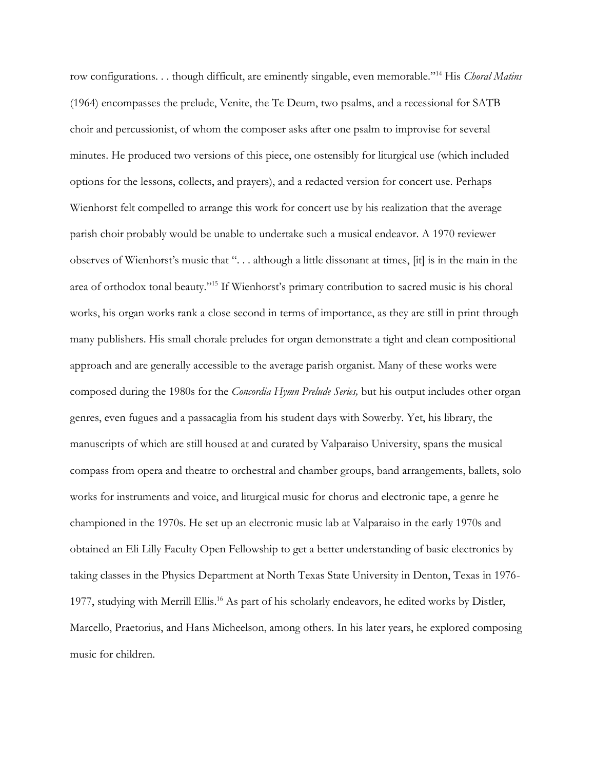row configurations. . . though difficult, are eminently singable, even memorable."<sup>14</sup> His *Choral Matins*  (1964) encompasses the prelude, Venite, the Te Deum, two psalms, and a recessional for SATB choir and percussionist, of whom the composer asks after one psalm to improvise for several minutes. He produced two versions of this piece, one ostensibly for liturgical use (which included options for the lessons, collects, and prayers), and a redacted version for concert use. Perhaps Wienhorst felt compelled to arrange this work for concert use by his realization that the average parish choir probably would be unable to undertake such a musical endeavor. A 1970 reviewer observes of Wienhorst's music that ". . . although a little dissonant at times, [it] is in the main in the area of orthodox tonal beauty."<sup>15</sup> If Wienhorst's primary contribution to sacred music is his choral works, his organ works rank a close second in terms of importance, as they are still in print through many publishers. His small chorale preludes for organ demonstrate a tight and clean compositional approach and are generally accessible to the average parish organist. Many of these works were composed during the 1980s for the *Concordia Hymn Prelude Series,* but his output includes other organ genres, even fugues and a passacaglia from his student days with Sowerby. Yet, his library, the manuscripts of which are still housed at and curated by Valparaiso University, spans the musical compass from opera and theatre to orchestral and chamber groups, band arrangements, ballets, solo works for instruments and voice, and liturgical music for chorus and electronic tape, a genre he championed in the 1970s. He set up an electronic music lab at Valparaiso in the early 1970s and obtained an Eli Lilly Faculty Open Fellowship to get a better understanding of basic electronics by taking classes in the Physics Department at North Texas State University in Denton, Texas in 1976- 1977, studying with Merrill Ellis.<sup>16</sup> As part of his scholarly endeavors, he edited works by Distler, Marcello, Praetorius, and Hans Micheelson, among others. In his later years, he explored composing music for children.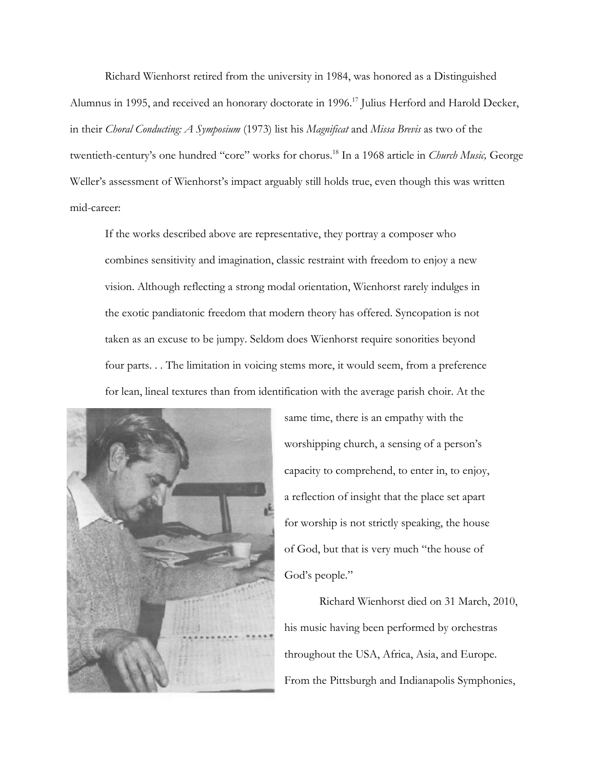Richard Wienhorst retired from the university in 1984, was honored as a Distinguished Alumnus in 1995, and received an honorary doctorate in 1996.<sup>17</sup> Julius Herford and Harold Decker, in their *Choral Conducting: A Symposium* (1973) list his *Magnificat* and *Missa Brevis* as two of the twentieth-century's one hundred "core" works for chorus.<sup>18</sup> In a 1968 article in *Church Music,* George Weller's assessment of Wienhorst's impact arguably still holds true, even though this was written mid-career:

If the works described above are representative, they portray a composer who combines sensitivity and imagination, classic restraint with freedom to enjoy a new vision. Although reflecting a strong modal orientation, Wienhorst rarely indulges in the exotic pandiatonic freedom that modern theory has offered. Syncopation is not taken as an excuse to be jumpy. Seldom does Wienhorst require sonorities beyond four parts. . . The limitation in voicing stems more, it would seem, from a preference for lean, lineal textures than from identification with the average parish choir. At the



same time, there is an empathy with the worshipping church, a sensing of a person's capacity to comprehend, to enter in, to enjoy, a reflection of insight that the place set apart for worship is not strictly speaking, the house of God, but that is very much "the house of God's people."

Richard Wienhorst died on 31 March, 2010, his music having been performed by orchestras throughout the USA, Africa, Asia, and Europe. From the Pittsburgh and Indianapolis Symphonies,